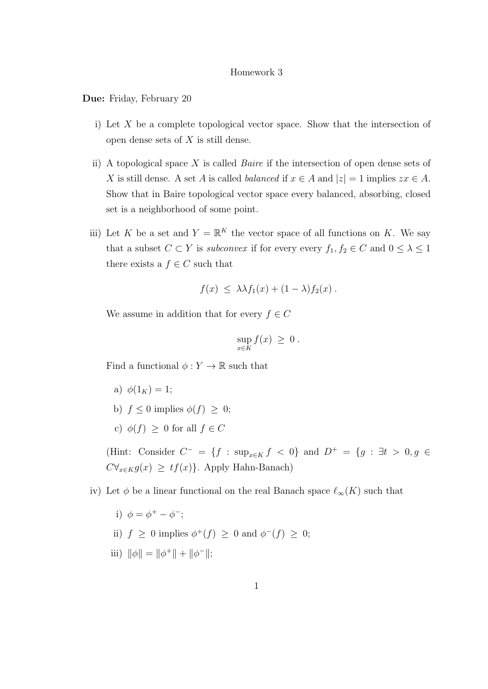## Homework 3

Due: Friday, February 20

- i) Let X be a complete topological vector space. Show that the intersection of open dense sets of  $X$  is still dense.
- ii) A topological space X is called *Baire* if the intersection of open dense sets of X is still dense. A set A is called *balanced* if  $x \in A$  and  $|z| = 1$  implies  $zx \in A$ . Show that in Baire topological vector space every balanced, absorbing, closed set is a neighborhood of some point.
- iii) Let K be a set and  $Y = \mathbb{R}^K$  the vector space of all functions on K. We say that a subset  $C \subset Y$  is *subconvex* if for every every  $f_1, f_2 \in C$  and  $0 \leq \lambda \leq 1$ there exists a  $f \in C$  such that

$$
f(x) \leq \lambda \lambda f_1(x) + (1 - \lambda) f_2(x) .
$$

We assume in addition that for every  $f \in C$ 

$$
\sup_{x \in K} f(x) \geq 0.
$$

Find a functional  $\phi: Y \to \mathbb{R}$  such that

- a)  $\phi(1_K) = 1$ ;
- b)  $f \leq 0$  implies  $\phi(f) \geq 0$ ;
- c)  $\phi(f) > 0$  for all  $f \in C$

(Hint: Consider  $C^- = \{f : \sup_{x \in K} f < 0\}$  and  $D^+ = \{g : \exists t > 0, g \in \mathbb{R} \}$  $C\forall_{x\in K}g(x) \geq tf(x)$ . Apply Hahn-Banach)

iv) Let  $\phi$  be a linear functional on the real Banach space  $\ell_{\infty}(K)$  such that

- i)  $\phi = \phi^+ \phi^-;$
- ii)  $f \geq 0$  implies  $\phi^+(f) \geq 0$  and  $\phi^-(f) \geq 0$ ;
- iii)  $\|\phi\| = \|\phi^+\| + \|\phi^-\|;$